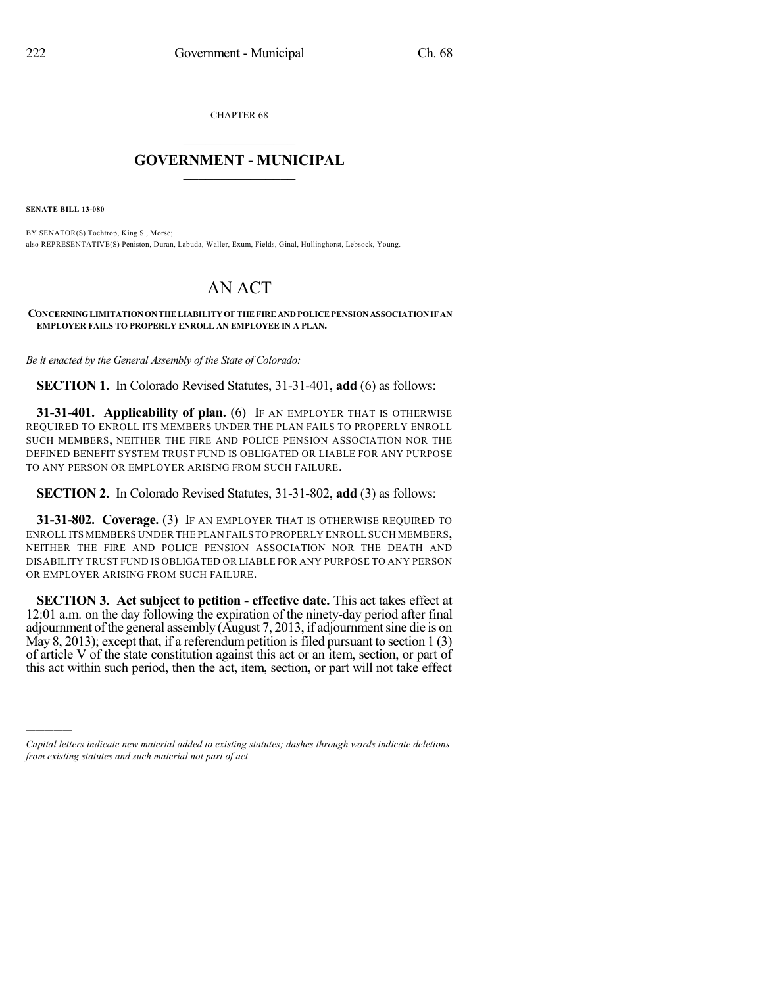CHAPTER 68

## $\mathcal{L}_\text{max}$  . The set of the set of the set of the set of the set of the set of the set of the set of the set of the set of the set of the set of the set of the set of the set of the set of the set of the set of the set **GOVERNMENT - MUNICIPAL**  $\_$

**SENATE BILL 13-080**

)))))

BY SENATOR(S) Tochtrop, King S., Morse; also REPRESENTATIVE(S) Peniston, Duran, Labuda, Waller, Exum, Fields, Ginal, Hullinghorst, Lebsock, Young.

## AN ACT

**CONCERNINGLIMITATIONONTHE LIABILITYOF THE FIRE ANDPOLICE PENSIONASSOCIATIONIFAN EMPLOYER FAILS TO PROPERLY ENROLL AN EMPLOYEE IN A PLAN.**

*Be it enacted by the General Assembly of the State of Colorado:*

**SECTION 1.** In Colorado Revised Statutes, 31-31-401, **add** (6) as follows:

**31-31-401. Applicability of plan.** (6) IF AN EMPLOYER THAT IS OTHERWISE REQUIRED TO ENROLL ITS MEMBERS UNDER THE PLAN FAILS TO PROPERLY ENROLL SUCH MEMBERS, NEITHER THE FIRE AND POLICE PENSION ASSOCIATION NOR THE DEFINED BENEFIT SYSTEM TRUST FUND IS OBLIGATED OR LIABLE FOR ANY PURPOSE TO ANY PERSON OR EMPLOYER ARISING FROM SUCH FAILURE.

**SECTION 2.** In Colorado Revised Statutes, 31-31-802, **add** (3) as follows:

**31-31-802. Coverage.** (3) IF AN EMPLOYER THAT IS OTHERWISE REQUIRED TO ENROLL ITS MEMBERS UNDER THE PLAN FAILS TO PROPERLY ENROLL SUCH MEMBERS, NEITHER THE FIRE AND POLICE PENSION ASSOCIATION NOR THE DEATH AND DISABILITY TRUST FUND IS OBLIGATED OR LIABLE FOR ANY PURPOSE TO ANY PERSON OR EMPLOYER ARISING FROM SUCH FAILURE.

**SECTION 3. Act subject to petition - effective date.** This act takes effect at 12:01 a.m. on the day following the expiration of the ninety-day period after final adjournment of the general assembly (August 7, 2013, if adjournment sine die is on May 8, 2013); except that, if a referendum petition is filed pursuant to section  $1(3)$ of article V of the state constitution against this act or an item, section, or part of this act within such period, then the act, item, section, or part will not take effect

*Capital letters indicate new material added to existing statutes; dashes through words indicate deletions from existing statutes and such material not part of act.*